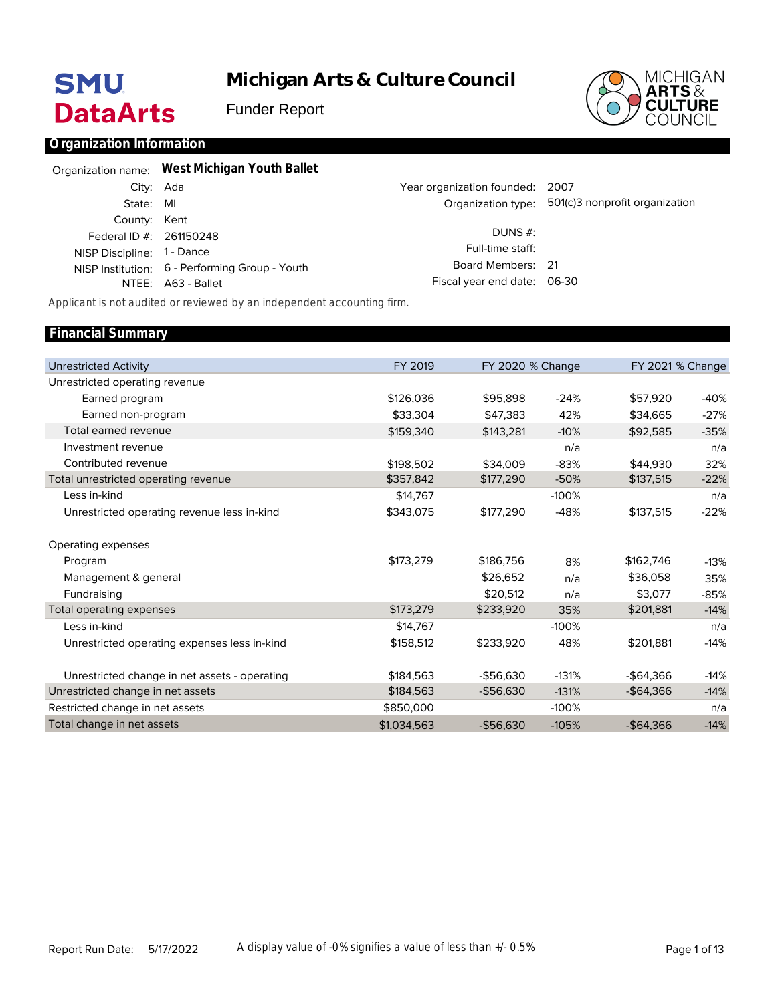# **SMU DataArts**

**Michigan Arts & Culture Council**

Funder Report



### **Organization Information**

|                            | Organization name: West Michigan Youth Ballet  |                                 |                                                   |
|----------------------------|------------------------------------------------|---------------------------------|---------------------------------------------------|
|                            | City: Ada                                      | Year organization founded: 2007 |                                                   |
| State: MI                  |                                                |                                 | Organization type: 501(c)3 nonprofit organization |
| County: Kent               |                                                |                                 |                                                   |
| Federal ID #: 261150248    |                                                | DUNS #:                         |                                                   |
| NISP Discipline: 1 - Dance |                                                | Full-time staff:                |                                                   |
|                            | NISP Institution: 6 - Performing Group - Youth | Board Members: 21               |                                                   |
|                            | NTEE: A63 - Ballet                             | Fiscal year end date: 06-30     |                                                   |
|                            |                                                |                                 |                                                   |

*Applicant is not audited or reviewed by an independent accounting firm.*

#### Unrestricted Activity Unrestricted operating revenue Earned program Earned non-program Total earned revenue Investment revenue Contributed revenue Total unrestricted operating revenue Less in-kind Unrestricted operating revenue less in-kind Operating expenses Program Management & general Fundraising Total operating expenses Less in-kind Unrestricted operating expenses less in-kind Unrestricted change in net assets - operating Unrestricted change in net assets Restricted change in net assets Total change in net assets FY 2019 \$126,036 \$33,304 \$159,340 \$198,502 \$357,842 \$14,767 \$343,075 \$173,279 \$173,279 \$14,767 \$158,512 \$184,563 \$184,563 \$850,000 \$1,034,563 FY 2020 % Change \$95,898 \$47,383 \$143,281 \$34,009 \$177,290 \$177,290 \$186,756 \$26,652 \$20,512 \$233,920 \$233,920 -\$56,630 -\$56,630 -\$56,630 -24% 42% -10% n/a -83% -50% -100% -48% 8% n/a n/a 35% -100% 48% -131% -131% -100% -105% FY 2021 % Change \$57,920 \$34,665 \$92,585 \$44,930 \$137,515 \$137,515 \$162,746 \$36,058 \$3,077 \$201,881 \$201,881 -\$64,366 -\$64,366 -\$64,366 -40% -27% -35% n/a 32% -22% n/a -22% -13% 35% -85% -14% n/a -14% -14% -14% n/a -14% **Financial Summary**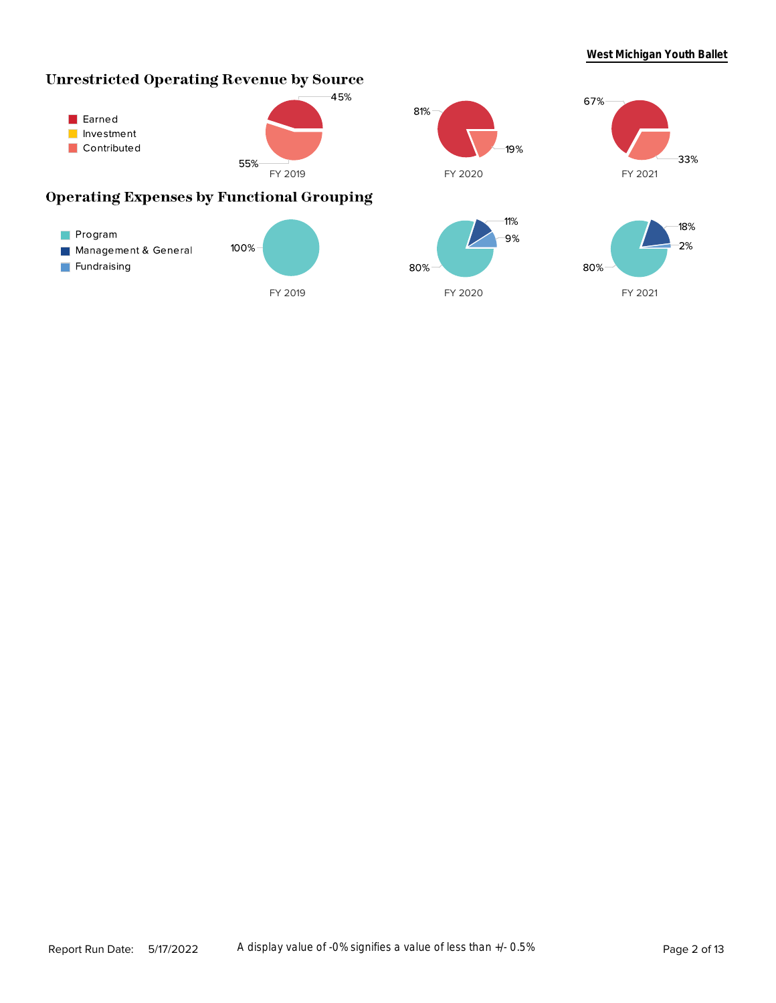# **Unrestricted Operating Revenue by Source**







# **Operating Expenses by Functional Grouping**

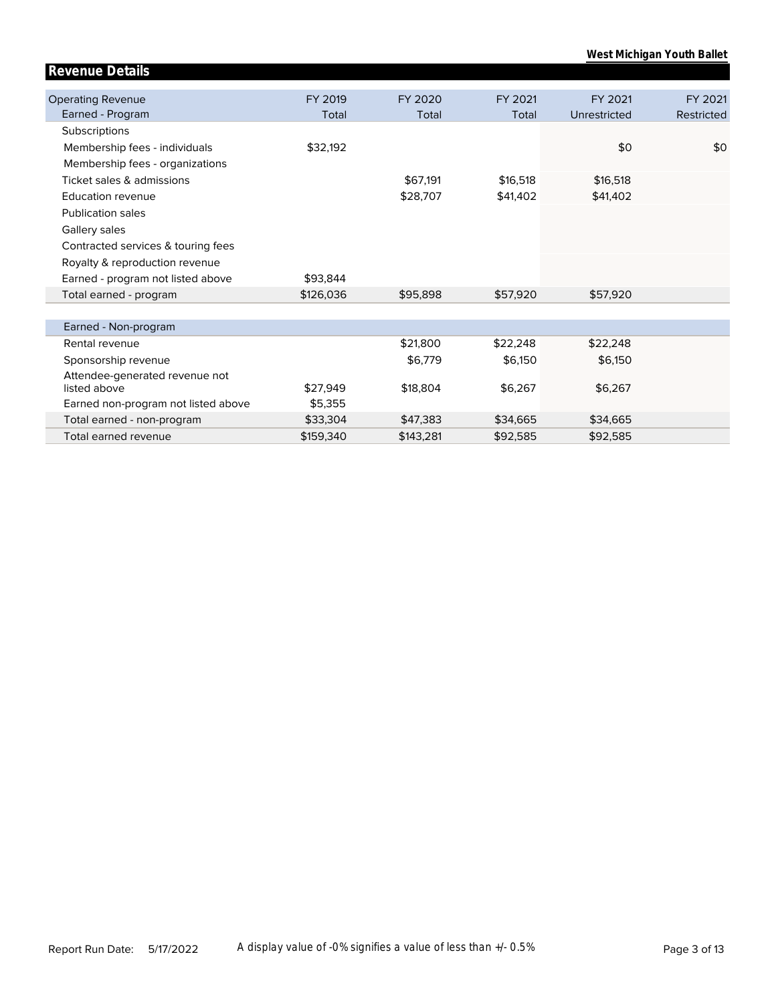| West Michigan Youth Ballet |  |
|----------------------------|--|
|                            |  |
|                            |  |

| <b>Operating Revenue</b>            | FY 2019   | FY 2020   | FY 2021  | FY 2021      | FY 2021    |
|-------------------------------------|-----------|-----------|----------|--------------|------------|
| Earned - Program                    | Total     | Total     | Total    | Unrestricted | Restricted |
| Subscriptions                       |           |           |          |              |            |
| Membership fees - individuals       | \$32,192  |           |          | \$0          | \$0        |
| Membership fees - organizations     |           |           |          |              |            |
| Ticket sales & admissions           |           | \$67,191  | \$16,518 | \$16,518     |            |
| <b>Education revenue</b>            |           | \$28,707  | \$41,402 | \$41,402     |            |
| <b>Publication sales</b>            |           |           |          |              |            |
| Gallery sales                       |           |           |          |              |            |
| Contracted services & touring fees  |           |           |          |              |            |
| Royalty & reproduction revenue      |           |           |          |              |            |
| Earned - program not listed above   | \$93,844  |           |          |              |            |
| Total earned - program              | \$126,036 | \$95,898  | \$57,920 | \$57,920     |            |
|                                     |           |           |          |              |            |
| Earned - Non-program                |           |           |          |              |            |
| Rental revenue                      |           | \$21,800  | \$22,248 | \$22,248     |            |
| Sponsorship revenue                 |           | \$6,779   | \$6,150  | \$6,150      |            |
| Attendee-generated revenue not      |           |           |          |              |            |
| listed above                        | \$27,949  | \$18,804  | \$6,267  | \$6,267      |            |
| Earned non-program not listed above | \$5,355   |           |          |              |            |
| Total earned - non-program          | \$33,304  | \$47,383  | \$34,665 | \$34,665     |            |
| Total earned revenue                | \$159,340 | \$143,281 | \$92,585 | \$92,585     |            |

**Revenue Details**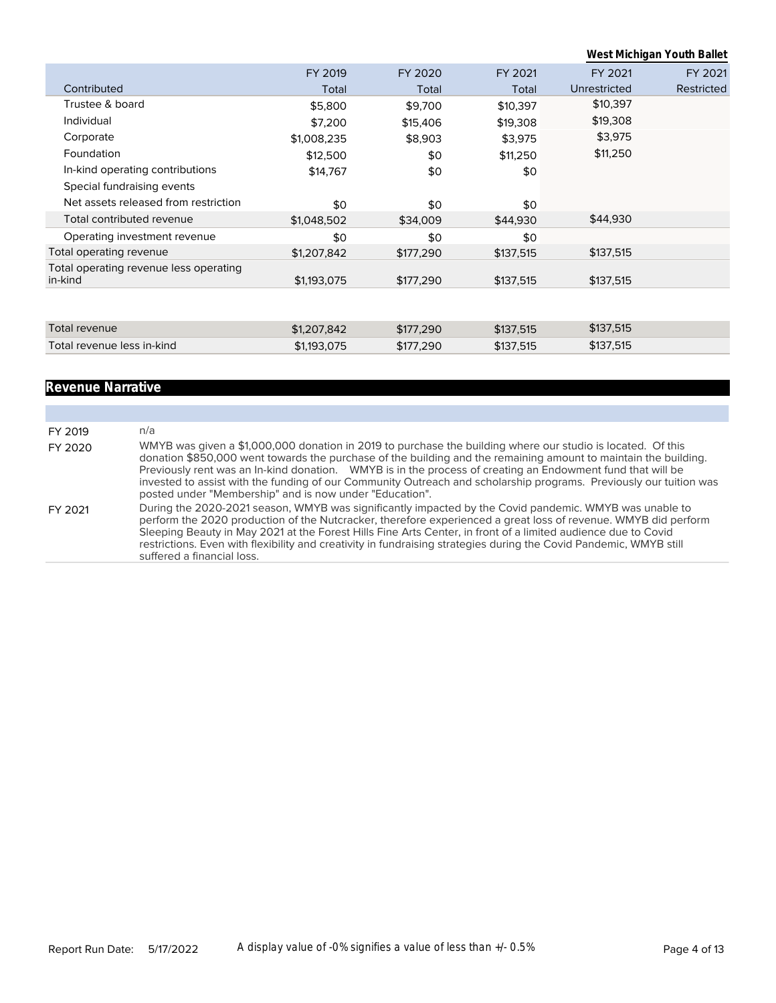|                                                   |             |           |           |              | West Michigan Youth Ballet |
|---------------------------------------------------|-------------|-----------|-----------|--------------|----------------------------|
|                                                   | FY 2019     | FY 2020   | FY 2021   | FY 2021      | FY 2021                    |
| Contributed                                       | Total       | Total     | Total     | Unrestricted | Restricted                 |
| Trustee & board                                   | \$5,800     | \$9,700   | \$10,397  | \$10,397     |                            |
| Individual                                        | \$7,200     | \$15,406  | \$19,308  | \$19,308     |                            |
| Corporate                                         | \$1,008,235 | \$8,903   | \$3,975   | \$3,975      |                            |
| Foundation                                        | \$12,500    | \$0       | \$11,250  | \$11,250     |                            |
| In-kind operating contributions                   | \$14,767    | \$0       | \$0       |              |                            |
| Special fundraising events                        |             |           |           |              |                            |
| Net assets released from restriction              | \$0         | \$0       | \$0       |              |                            |
| Total contributed revenue                         | \$1,048,502 | \$34,009  | \$44,930  | \$44,930     |                            |
| Operating investment revenue                      | \$0         | \$0       | \$0       |              |                            |
| Total operating revenue                           | \$1,207,842 | \$177,290 | \$137,515 | \$137,515    |                            |
| Total operating revenue less operating<br>in-kind | \$1,193,075 | \$177,290 | \$137,515 | \$137,515    |                            |
|                                                   |             |           |           |              |                            |
| Total revenue                                     | \$1,207,842 | \$177,290 | \$137,515 | \$137,515    |                            |
| Total revenue less in-kind                        | \$1,193,075 | \$177,290 | \$137,515 | \$137,515    |                            |
|                                                   |             |           |           |              |                            |

# **Revenue Narrative**

| FY 2019 | n/a                                                                                                                                                                                                                                                                                                                                                                                                                                                                                                                           |
|---------|-------------------------------------------------------------------------------------------------------------------------------------------------------------------------------------------------------------------------------------------------------------------------------------------------------------------------------------------------------------------------------------------------------------------------------------------------------------------------------------------------------------------------------|
| FY 2020 | WMYB was given a \$1,000,000 donation in 2019 to purchase the building where our studio is located. Of this<br>donation \$850,000 went towards the purchase of the building and the remaining amount to maintain the building.<br>Previously rent was an In-kind donation. WMYB is in the process of creating an Endowment fund that will be<br>invested to assist with the funding of our Community Outreach and scholarship programs. Previously our tuition was<br>posted under "Membership" and is now under "Education". |
| FY 2021 | During the 2020-2021 season, WMYB was significantly impacted by the Covid pandemic. WMYB was unable to<br>perform the 2020 production of the Nutcracker, therefore experienced a great loss of revenue. WMYB did perform<br>Sleeping Beauty in May 2021 at the Forest Hills Fine Arts Center, in front of a limited audience due to Covid<br>restrictions. Even with flexibility and creativity in fundraising strategies during the Covid Pandemic, WMYB still<br>suffered a financial loss.                                 |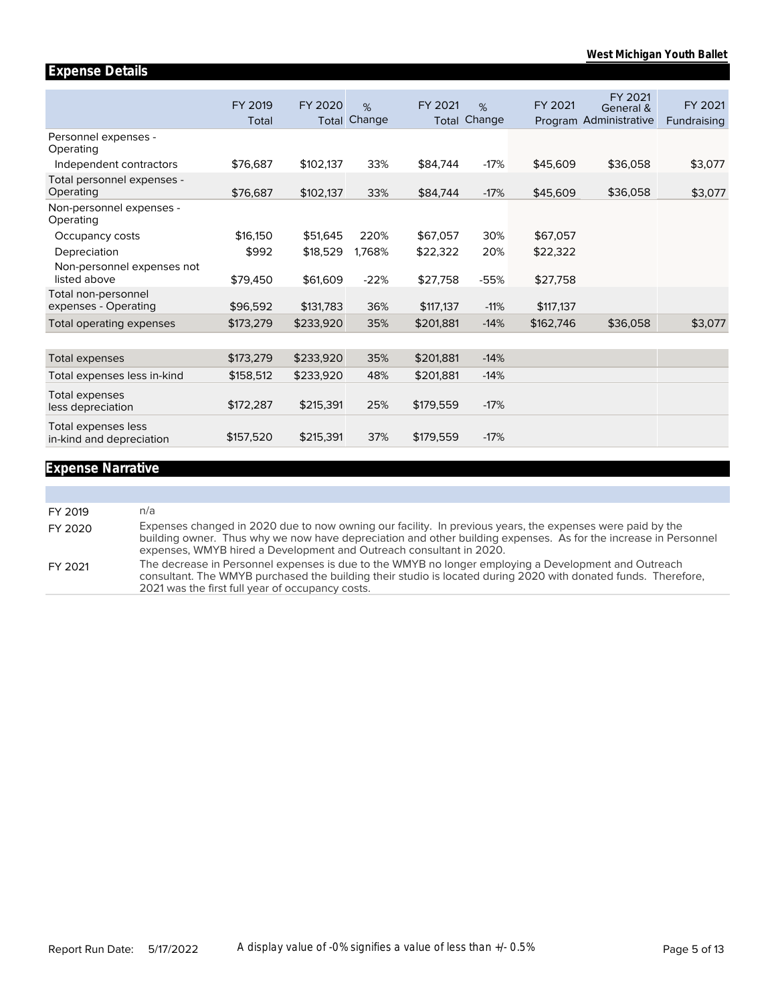|                                                 | FY 2019<br>Total | FY 2020<br>Total | %<br>Change | FY 2021<br>Total | %<br>Change | FY 2021   | FY 2021<br>General &<br>Program Administrative | FY 2021<br>Fundraising |
|-------------------------------------------------|------------------|------------------|-------------|------------------|-------------|-----------|------------------------------------------------|------------------------|
| Personnel expenses -<br>Operating               |                  |                  |             |                  |             |           |                                                |                        |
| Independent contractors                         | \$76,687         | \$102,137        | 33%         | \$84,744         | $-17%$      | \$45,609  | \$36,058                                       | \$3,077                |
| Total personnel expenses -<br>Operating         | \$76,687         | \$102,137        | 33%         | \$84,744         | $-17%$      | \$45,609  | \$36,058                                       | \$3,077                |
| Non-personnel expenses -<br>Operating           |                  |                  |             |                  |             |           |                                                |                        |
| Occupancy costs                                 | \$16,150         | \$51,645         | 220%        | \$67,057         | 30%         | \$67,057  |                                                |                        |
| Depreciation                                    | \$992            | \$18,529         | 1,768%      | \$22,322         | 20%         | \$22,322  |                                                |                        |
| Non-personnel expenses not<br>listed above      | \$79,450         | \$61,609         | $-22%$      | \$27,758         | $-55%$      | \$27,758  |                                                |                        |
| Total non-personnel<br>expenses - Operating     | \$96,592         | \$131,783        | 36%         | \$117,137        | $-11%$      | \$117,137 |                                                |                        |
| Total operating expenses                        | \$173,279        | \$233,920        | 35%         | \$201,881        | $-14%$      | \$162,746 | \$36,058                                       | \$3,077                |
|                                                 |                  |                  |             |                  |             |           |                                                |                        |
| Total expenses                                  | \$173,279        | \$233,920        | 35%         | \$201,881        | $-14%$      |           |                                                |                        |
| Total expenses less in-kind                     | \$158,512        | \$233,920        | 48%         | \$201,881        | $-14%$      |           |                                                |                        |
| Total expenses<br>less depreciation             | \$172,287        | \$215,391        | 25%         | \$179,559        | $-17%$      |           |                                                |                        |
| Total expenses less<br>in-kind and depreciation | \$157,520        | \$215,391        | 37%         | \$179,559        | $-17%$      |           |                                                |                        |

# **Expense Narrative**

**Expense Details**

| FY 2019 | n/a                                                                                                                                                                                                                                                                                                 |
|---------|-----------------------------------------------------------------------------------------------------------------------------------------------------------------------------------------------------------------------------------------------------------------------------------------------------|
| FY 2020 | Expenses changed in 2020 due to now owning our facility. In previous years, the expenses were paid by the<br>building owner. Thus why we now have depreciation and other building expenses. As for the increase in Personnel<br>expenses, WMYB hired a Development and Outreach consultant in 2020. |
| FY 2021 | The decrease in Personnel expenses is due to the WMYB no longer employing a Development and Outreach<br>consultant. The WMYB purchased the building their studio is located during 2020 with donated funds. Therefore,<br>2021 was the first full year of occupancy costs.                          |
|         |                                                                                                                                                                                                                                                                                                     |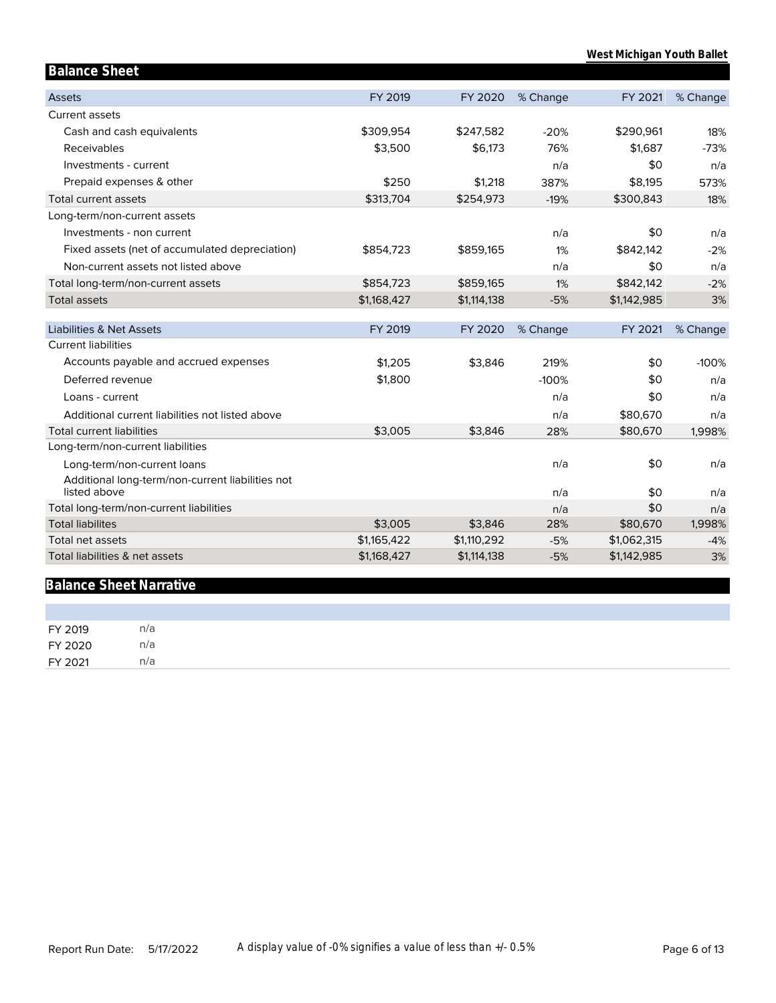| <b>Balance Sheet</b>                             |             |             |          |             |          |
|--------------------------------------------------|-------------|-------------|----------|-------------|----------|
| <b>Assets</b>                                    | FY 2019     | FY 2020     | % Change | FY 2021     | % Change |
| Current assets                                   |             |             |          |             |          |
| Cash and cash equivalents                        | \$309,954   | \$247,582   | $-20%$   | \$290,961   | 18%      |
| Receivables                                      | \$3,500     | \$6,173     | 76%      | \$1,687     | $-73%$   |
| Investments - current                            |             |             | n/a      | \$0         | n/a      |
| Prepaid expenses & other                         | \$250       | \$1,218     | 387%     | \$8,195     | 573%     |
| Total current assets                             | \$313,704   | \$254,973   | $-19%$   | \$300,843   | 18%      |
| Long-term/non-current assets                     |             |             |          |             |          |
| Investments - non current                        |             |             | n/a      | \$0         | n/a      |
| Fixed assets (net of accumulated depreciation)   | \$854,723   | \$859,165   | 1%       | \$842,142   | $-2%$    |
| Non-current assets not listed above              |             |             | n/a      | \$0         | n/a      |
| Total long-term/non-current assets               | \$854,723   | \$859,165   | 1%       | \$842,142   | $-2%$    |
| <b>Total assets</b>                              | \$1,168,427 | \$1,114,138 | $-5%$    | \$1,142,985 | 3%       |
| <b>Liabilities &amp; Net Assets</b>              | FY 2019     | FY 2020     | % Change | FY 2021     | % Change |
| <b>Current liabilities</b>                       |             |             |          |             |          |
| Accounts payable and accrued expenses            | \$1,205     | \$3,846     | 219%     | \$0         | $-100%$  |
| Deferred revenue                                 | \$1,800     |             | $-100%$  | \$0         | n/a      |
| Loans - current                                  |             |             | n/a      | \$0         | n/a      |
| Additional current liabilities not listed above  |             |             | n/a      | \$80,670    | n/a      |
| <b>Total current liabilities</b>                 | \$3,005     | \$3,846     | 28%      | \$80,670    | 1,998%   |
| Long-term/non-current liabilities                |             |             |          |             |          |
| Long-term/non-current loans                      |             |             | n/a      | \$0         | n/a      |
| Additional long-term/non-current liabilities not |             |             |          |             |          |
| listed above                                     |             |             | n/a      | \$0         | n/a      |
| Total long-term/non-current liabilities          |             |             | n/a      | \$0         | n/a      |
| <b>Total liabilites</b>                          | \$3,005     | \$3,846     | 28%      | \$80,670    | 1,998%   |
| <b>Total net assets</b>                          | \$1,165,422 | \$1,110,292 | $-5%$    | \$1,062,315 | $-4%$    |
| Total liabilities & net assets                   | \$1,168,427 | \$1,114,138 | $-5%$    | \$1,142,985 | 3%       |

# **Balance Sheet Narrative**

| FY 2019 | n/a |  |  |  |
|---------|-----|--|--|--|
| FY 2020 | n/a |  |  |  |
| FY 2021 | n/a |  |  |  |
|         |     |  |  |  |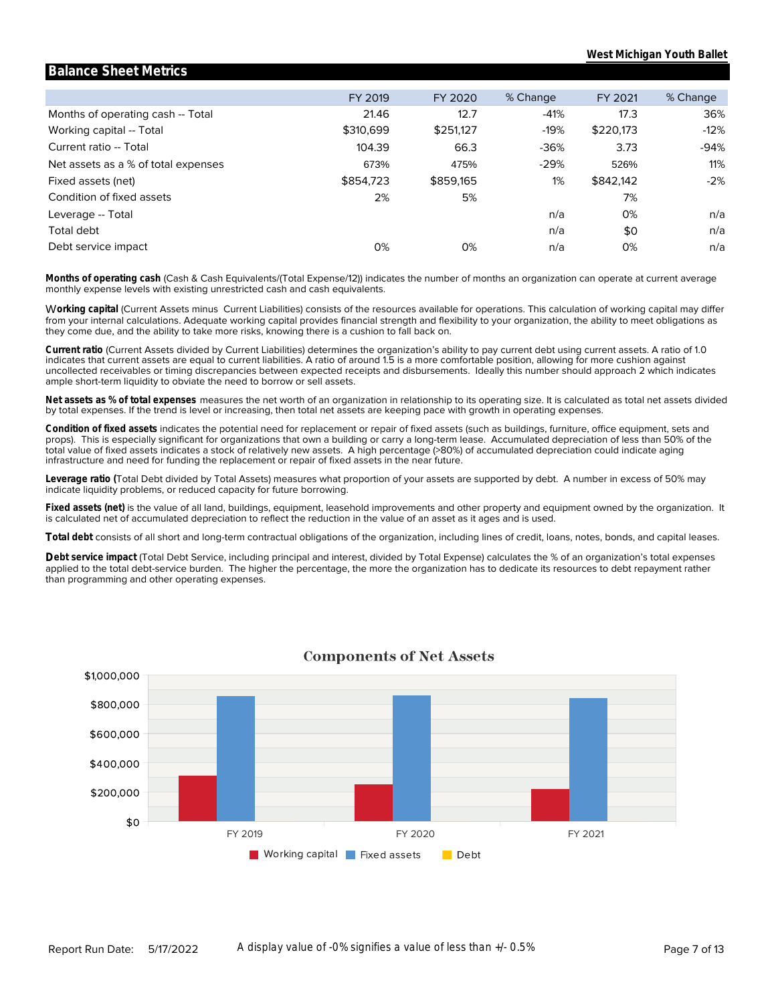|                                     | FY 2019   | FY 2020   | % Change | FY 2021   | % Change |
|-------------------------------------|-----------|-----------|----------|-----------|----------|
| Months of operating cash -- Total   | 21.46     | 12.7      | $-41%$   | 17.3      | 36%      |
| Working capital -- Total            | \$310,699 | \$251,127 | $-19%$   | \$220,173 | $-12%$   |
| Current ratio -- Total              | 104.39    | 66.3      | $-36%$   | 3.73      | $-94%$   |
| Net assets as a % of total expenses | 673%      | 475%      | $-29%$   | 526%      | 11%      |
| Fixed assets (net)                  | \$854,723 | \$859,165 | $1\%$    | \$842,142 | $-2%$    |
| Condition of fixed assets           | 2%        | 5%        |          | 7%        |          |
| Leverage -- Total                   |           |           | n/a      | 0%        | n/a      |
| Total debt                          |           |           | n/a      | \$0       | n/a      |
| Debt service impact                 | 0%        | 0%        | n/a      | 0%        | n/a      |
|                                     |           |           |          |           |          |

**Balance Sheet Metrics**

monthly expense levels with existing unrestricted cash and cash equivalents. **Months of operating cash** (Cash & Cash Equivalents/(Total Expense/12)) indicates the number of months an organization can operate at current average

they come due, and the ability to take more risks, knowing there is a cushion to fall back on. from your internal calculations. Adequate working capital provides financial strength and flexibility to your organization, the ability to meet obligations as W**orking capital** (Current Assets minus Current Liabilities) consists of the resources available for operations. This calculation of working capital may differ

ample short-term liquidity to obviate the need to borrow or sell assets. uncollected receivables or timing discrepancies between expected receipts and disbursements. Ideally this number should approach 2 which indicates indicates that current assets are equal to current liabilities. A ratio of around 1.5 is a more comfortable position, allowing for more cushion against **Current ratio** (Current Assets divided by Current Liabilities) determines the organization's ability to pay current debt using current assets. A ratio of 1.0

by total expenses. If the trend is level or increasing, then total net assets are keeping pace with growth in operating expenses. **Net assets as % of total expenses** measures the net worth of an organization in relationship to its operating size. It is calculated as total net assets divided

infrastructure and need for funding the replacement or repair of fixed assets in the near future. total value of fixed assets indicates a stock of relatively new assets. A high percentage (>80%) of accumulated depreciation could indicate aging props). This is especially significant for organizations that own a building or carry a long-term lease. Accumulated depreciation of less than 50% of the **Condition of fixed assets** indicates the potential need for replacement or repair of fixed assets (such as buildings, furniture, office equipment, sets and

indicate liquidity problems, or reduced capacity for future borrowing. **Leverage ratio (**Total Debt divided by Total Assets) measures what proportion of your assets are supported by debt. A number in excess of 50% may

is calculated net of accumulated depreciation to reflect the reduction in the value of an asset as it ages and is used. **Fixed assets (net)** is the value of all land, buildings, equipment, leasehold improvements and other property and equipment owned by the organization. It

**Total debt** consists of all short and long-term contractual obligations of the organization, including lines of credit, loans, notes, bonds, and capital leases.

than programming and other operating expenses. applied to the total debt-service burden. The higher the percentage, the more the organization has to dedicate its resources to debt repayment rather **Debt service impact** (Total Debt Service, including principal and interest, divided by Total Expense) calculates the % of an organization's total expenses



#### **Components of Net Assets**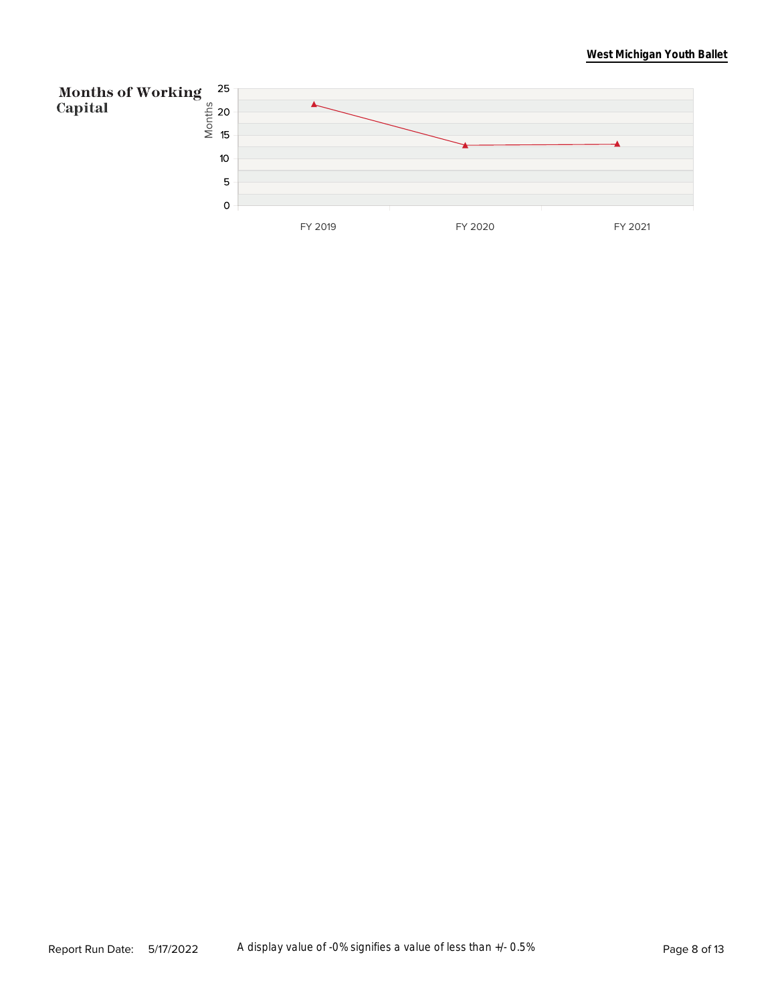#### **West Michigan Youth Ballet**

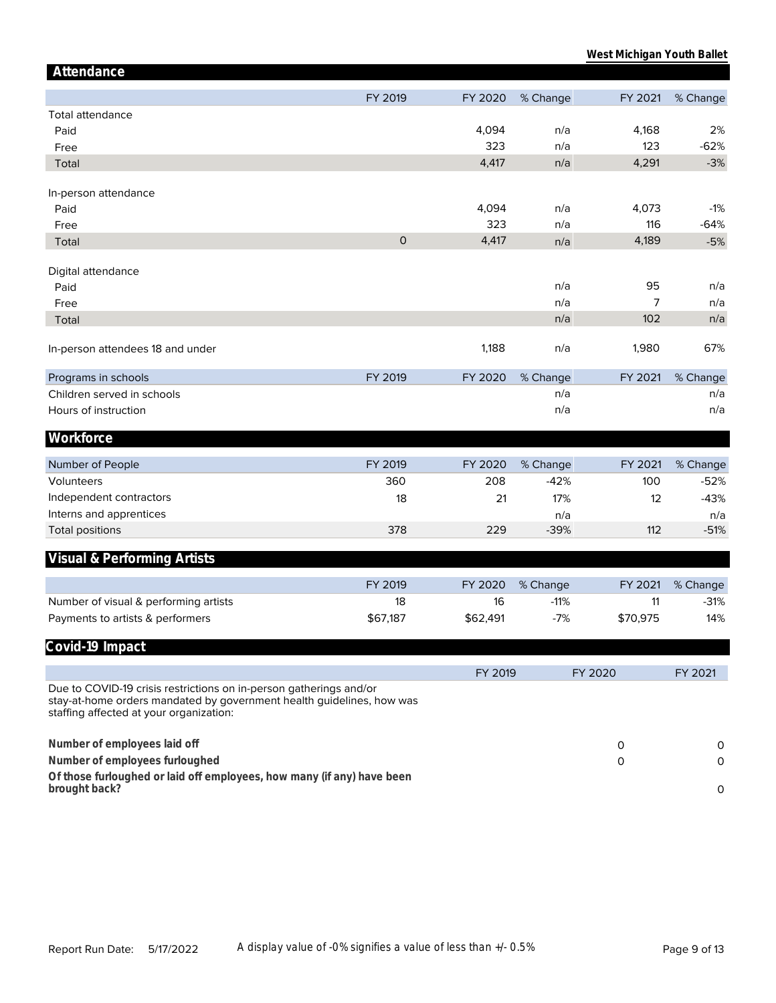| Attendance                                                                                                                                                                             |                     |          |          |          |          |
|----------------------------------------------------------------------------------------------------------------------------------------------------------------------------------------|---------------------|----------|----------|----------|----------|
|                                                                                                                                                                                        | FY 2019             | FY 2020  | % Change | FY 2021  | % Change |
| <b>Total attendance</b>                                                                                                                                                                |                     |          |          |          |          |
| Paid                                                                                                                                                                                   |                     | 4,094    | n/a      | 4,168    | 2%       |
| Free                                                                                                                                                                                   |                     | 323      | n/a      | 123      | $-62%$   |
| Total                                                                                                                                                                                  |                     | 4,417    | n/a      | 4,291    | $-3%$    |
|                                                                                                                                                                                        |                     |          |          |          |          |
| In-person attendance                                                                                                                                                                   |                     |          |          |          |          |
| Paid                                                                                                                                                                                   |                     | 4,094    | n/a      | 4,073    | $-1%$    |
| Free                                                                                                                                                                                   |                     | 323      | n/a      | 116      | $-64%$   |
| Total                                                                                                                                                                                  | $\mathsf{O}\xspace$ | 4,417    | n/a      | 4,189    | $-5%$    |
|                                                                                                                                                                                        |                     |          |          |          |          |
| Digital attendance                                                                                                                                                                     |                     |          | n/a      | 95       | n/a      |
| Paid                                                                                                                                                                                   |                     |          | n/a      | 7        | n/a      |
| Free                                                                                                                                                                                   |                     |          |          | 102      | n/a      |
| Total                                                                                                                                                                                  |                     |          | n/a      |          |          |
| In-person attendees 18 and under                                                                                                                                                       |                     | 1,188    | n/a      | 1,980    | 67%      |
| Programs in schools                                                                                                                                                                    | FY 2019             | FY 2020  | % Change | FY 2021  | % Change |
| Children served in schools                                                                                                                                                             |                     |          | n/a      |          | n/a      |
| Hours of instruction                                                                                                                                                                   |                     |          | n/a      |          | n/a      |
| Workforce                                                                                                                                                                              |                     |          |          |          |          |
|                                                                                                                                                                                        |                     |          |          |          |          |
| Number of People                                                                                                                                                                       | FY 2019             | FY 2020  | % Change | FY 2021  | % Change |
| Volunteers                                                                                                                                                                             | 360                 | 208      | $-42%$   | 100      | $-52%$   |
| Independent contractors                                                                                                                                                                | 18                  | 21       | 17%      | 12       | $-43%$   |
| Interns and apprentices                                                                                                                                                                |                     |          | n/a      |          | n/a      |
| <b>Total positions</b>                                                                                                                                                                 | 378                 | 229      | $-39%$   | 112      | $-51%$   |
| Visual & Performing Artists                                                                                                                                                            |                     |          |          |          |          |
|                                                                                                                                                                                        |                     |          |          |          |          |
|                                                                                                                                                                                        | FY 2019             | FY 2020  | % Change | FY 2021  | % Change |
| Number of visual & performing artists                                                                                                                                                  | 18                  | 16       | $-11%$   | 11       | $-31%$   |
| Payments to artists & performers                                                                                                                                                       | \$67,187            | \$62,491 | $-7%$    | \$70,975 | 14%      |
| Covid-19 Impact                                                                                                                                                                        |                     |          |          |          |          |
|                                                                                                                                                                                        |                     |          |          |          |          |
|                                                                                                                                                                                        |                     | FY 2019  |          | FY 2020  | FY 2021  |
| Due to COVID-19 crisis restrictions on in-person gatherings and/or<br>stay-at-home orders mandated by government health guidelines, how was<br>staffing affected at your organization: |                     |          |          |          |          |
| Number of employees laid off                                                                                                                                                           |                     |          |          | 0        | 0        |
| Number of employees furloughed                                                                                                                                                         |                     |          |          | 0        | $\circ$  |
| Of those furloughed or laid off employees, how many (if any) have been                                                                                                                 |                     |          |          |          |          |
| brought back?                                                                                                                                                                          |                     |          |          |          | $\circ$  |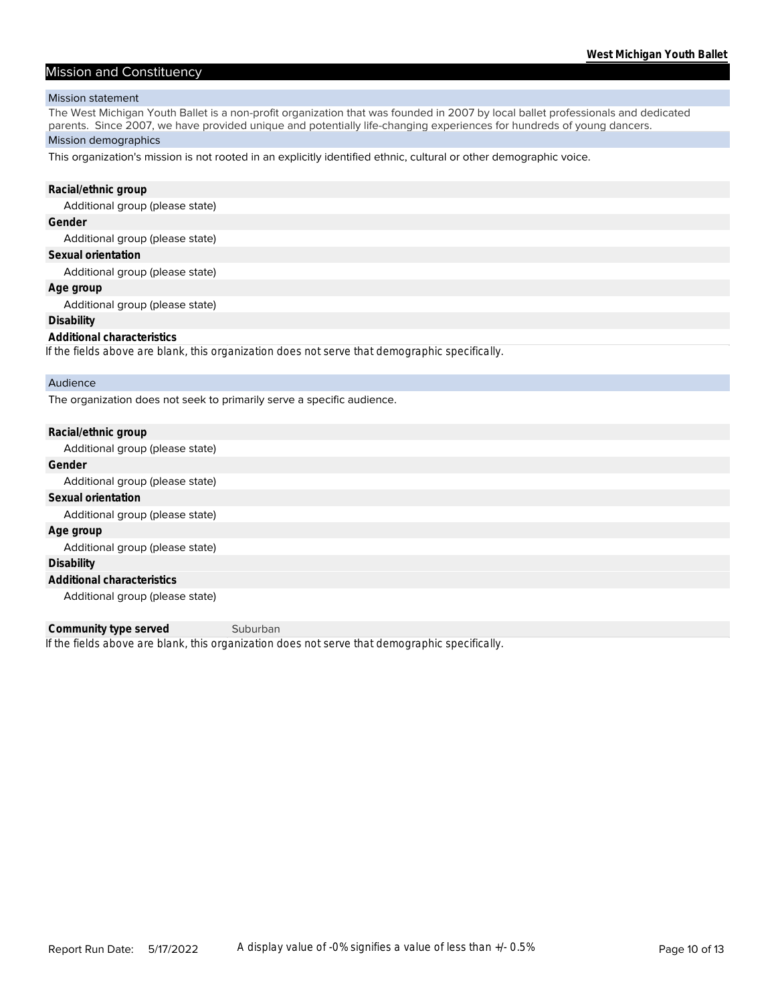#### Mission and Constituency

#### Mission statement

The West Michigan Youth Ballet is a non-profit organization that was founded in 2007 by local ballet professionals and dedicated parents. Since 2007, we have provided unique and potentially life-changing experiences for hundreds of young dancers.

#### Mission demographics

This organization's mission is not rooted in an explicitly identified ethnic, cultural or other demographic voice.

| Racial/ethnic group                                                                            |
|------------------------------------------------------------------------------------------------|
| Additional group (please state)                                                                |
| Gender                                                                                         |
| Additional group (please state)                                                                |
| Sexual orientation                                                                             |
| Additional group (please state)                                                                |
| Age group                                                                                      |
| Additional group (please state)                                                                |
| <b>Disability</b>                                                                              |
| Additional characteristics                                                                     |
| If the fields above are blank, this organization does not serve that demographic specifically. |
|                                                                                                |
| Audience                                                                                       |
| The organization does not seek to primarily serve a specific audience.                         |
|                                                                                                |
| Racial/ethnic group                                                                            |

Additional group (please state) **Gender** Additional group (please state) **Sexual orientation** Additional group (please state) **Age group** Additional group (please state) **Disability Additional characteristics** Additional group (please state)

*If the fields above are blank, this organization does not serve that demographic specifically.* **Community type served** Suburban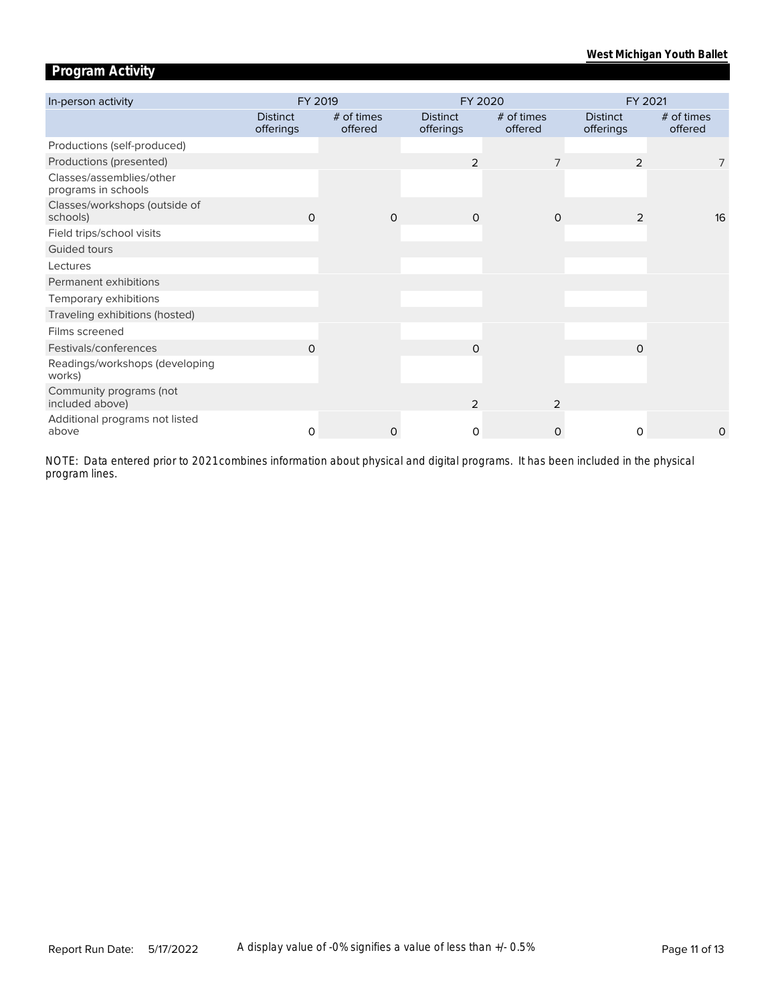# **Program Activity**

| In-person activity                              | FY 2019                      |                       |          | FY 2020                      |                       | FY 2021                      |                       |  |
|-------------------------------------------------|------------------------------|-----------------------|----------|------------------------------|-----------------------|------------------------------|-----------------------|--|
|                                                 | <b>Distinct</b><br>offerings | # of times<br>offered |          | <b>Distinct</b><br>offerings | # of times<br>offered | <b>Distinct</b><br>offerings | # of times<br>offered |  |
| Productions (self-produced)                     |                              |                       |          |                              |                       |                              |                       |  |
| Productions (presented)                         |                              |                       |          | 2                            |                       | $\overline{2}$               | 7                     |  |
| Classes/assemblies/other<br>programs in schools |                              |                       |          |                              |                       |                              |                       |  |
| Classes/workshops (outside of<br>schools)       | $\Omega$                     |                       | $\Omega$ | $\Omega$                     | $\Omega$              | 2                            | 16                    |  |
| Field trips/school visits                       |                              |                       |          |                              |                       |                              |                       |  |
| Guided tours                                    |                              |                       |          |                              |                       |                              |                       |  |
| Lectures                                        |                              |                       |          |                              |                       |                              |                       |  |
| Permanent exhibitions                           |                              |                       |          |                              |                       |                              |                       |  |
| Temporary exhibitions                           |                              |                       |          |                              |                       |                              |                       |  |
| Traveling exhibitions (hosted)                  |                              |                       |          |                              |                       |                              |                       |  |
| Films screened                                  |                              |                       |          |                              |                       |                              |                       |  |
| Festivals/conferences                           | O                            |                       |          | $\Omega$                     |                       | $\Omega$                     |                       |  |
| Readings/workshops (developing<br>works)        |                              |                       |          |                              |                       |                              |                       |  |
| Community programs (not<br>included above)      |                              |                       |          | 2                            | 2                     |                              |                       |  |
| Additional programs not listed<br>above         | $\Omega$                     |                       | 0        | 0                            | $\Omega$              | $\Omega$                     | 0                     |  |

*program lines. NOTE: Data entered prior to 2021 combines information about physical and digital programs. It has been included in the physical*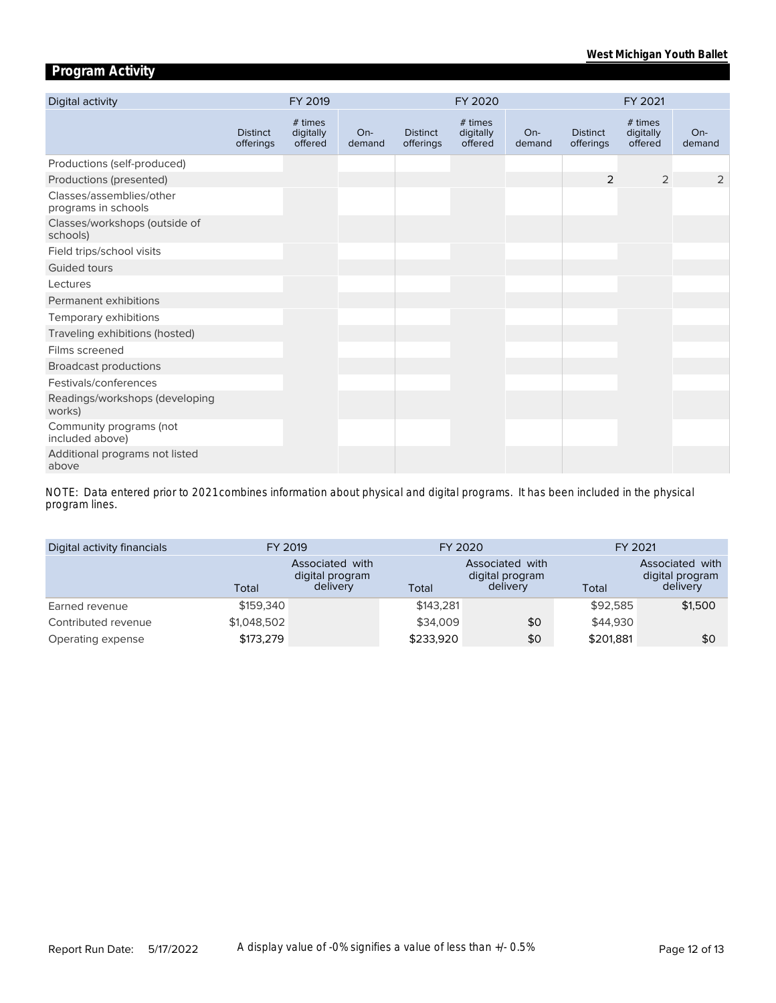# **Program Activity**

| Digital activity                                | FY 2019                      |                                 |                 |                              | FY 2020                         |                 | FY 2021                      |                                 |               |
|-------------------------------------------------|------------------------------|---------------------------------|-----------------|------------------------------|---------------------------------|-----------------|------------------------------|---------------------------------|---------------|
|                                                 | <b>Distinct</b><br>offerings | # times<br>digitally<br>offered | $On-$<br>demand | <b>Distinct</b><br>offerings | # times<br>digitally<br>offered | $On-$<br>demand | <b>Distinct</b><br>offerings | # times<br>digitally<br>offered | On-<br>demand |
| Productions (self-produced)                     |                              |                                 |                 |                              |                                 |                 |                              |                                 |               |
| Productions (presented)                         |                              |                                 |                 |                              |                                 |                 | $\overline{2}$               | $\overline{2}$                  | 2             |
| Classes/assemblies/other<br>programs in schools |                              |                                 |                 |                              |                                 |                 |                              |                                 |               |
| Classes/workshops (outside of<br>schools)       |                              |                                 |                 |                              |                                 |                 |                              |                                 |               |
| Field trips/school visits                       |                              |                                 |                 |                              |                                 |                 |                              |                                 |               |
| Guided tours                                    |                              |                                 |                 |                              |                                 |                 |                              |                                 |               |
| Lectures                                        |                              |                                 |                 |                              |                                 |                 |                              |                                 |               |
| Permanent exhibitions                           |                              |                                 |                 |                              |                                 |                 |                              |                                 |               |
| Temporary exhibitions                           |                              |                                 |                 |                              |                                 |                 |                              |                                 |               |
| Traveling exhibitions (hosted)                  |                              |                                 |                 |                              |                                 |                 |                              |                                 |               |
| Films screened                                  |                              |                                 |                 |                              |                                 |                 |                              |                                 |               |
| <b>Broadcast productions</b>                    |                              |                                 |                 |                              |                                 |                 |                              |                                 |               |
| Festivals/conferences                           |                              |                                 |                 |                              |                                 |                 |                              |                                 |               |
| Readings/workshops (developing<br>works)        |                              |                                 |                 |                              |                                 |                 |                              |                                 |               |
| Community programs (not<br>included above)      |                              |                                 |                 |                              |                                 |                 |                              |                                 |               |
| Additional programs not listed<br>above         |                              |                                 |                 |                              |                                 |                 |                              |                                 |               |

*program lines. NOTE: Data entered prior to 2021 combines information about physical and digital programs. It has been included in the physical* 

| Digital activity financials |             | FY 2019                                               |           | FY 2020                                        | FY 2021   |                                                |  |
|-----------------------------|-------------|-------------------------------------------------------|-----------|------------------------------------------------|-----------|------------------------------------------------|--|
|                             | Total       | <b>Associated with</b><br>digital program<br>delivery | Total     | Associated with<br>digital program<br>delivery | Total     | Associated with<br>digital program<br>delivery |  |
| Earned revenue              | \$159,340   |                                                       | \$143.281 |                                                | \$92.585  | \$1,500                                        |  |
| Contributed revenue         | \$1,048,502 |                                                       | \$34,009  | \$0                                            | \$44,930  |                                                |  |
| Operating expense           | \$173,279   |                                                       | \$233,920 | \$0                                            | \$201,881 | \$0                                            |  |